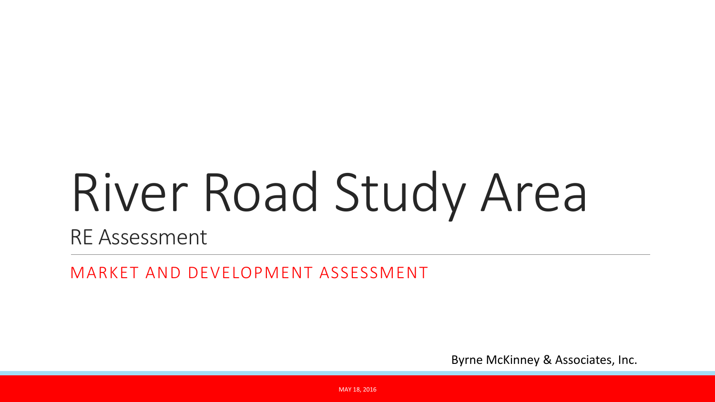# River Road Study Area

RE Assessment

MARKET AND DEVELOPMENT ASSESSMENT

Byrne McKinney & Associates, Inc.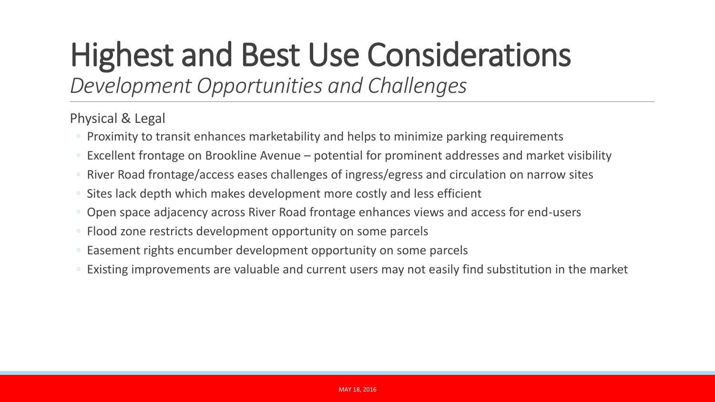# Highest and Best Use Considerations

*Development Opportunities and Challenges*

Physical & Legal

- Proximity to transit enhances marketability and helps to minimize parking requirements
- Excellent frontage on Brookline Avenue potential for prominent addresses and market visibility
- River Road frontage/access eases challenges of ingress/egress and circulation on narrow sites
- Sites lack depth which makes development more costly and less efficient
- Open space adjacency across River Road frontage enhances views and access for end-users
- Flood zone restricts development opportunity on some parcels
- Easement rights encumber development opportunity on some parcels
- Existing improvements are valuable and current users may not easily find substitution in the market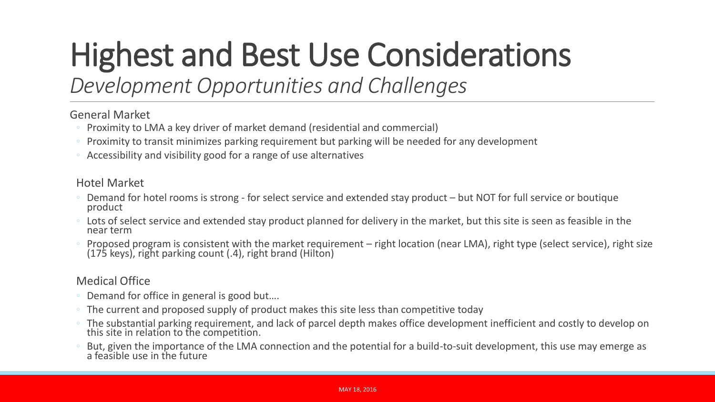# Highest and Best Use Considerations

### *Development Opportunities and Challenges*

#### General Market

- Proximity to LMA a key driver of market demand (residential and commercial)
- Proximity to transit minimizes parking requirement but parking will be needed for any development
- Accessibility and visibility good for a range of use alternatives

#### Hotel Market

- Demand for hotel rooms is strong for select service and extended stay product but NOT for full service or boutique product
- Lots of select service and extended stay product planned for delivery in the market, but this site is seen as feasible in the near term
- Proposed program is consistent with the market requirement right location (near LMA), right type (select service), right size (175 keys), right parking count (.4), right brand (Hilton)

#### Medical Office

- Demand for office in general is good but....
- The current and proposed supply of product makes this site less than competitive today
- The substantial parking requirement, and lack of parcel depth makes office development inefficient and costly to develop on this site in relation to the competition.
- But, given the importance of the LMA connection and the potential for a build-to-suit development, this use may emerge as a feasible use in the future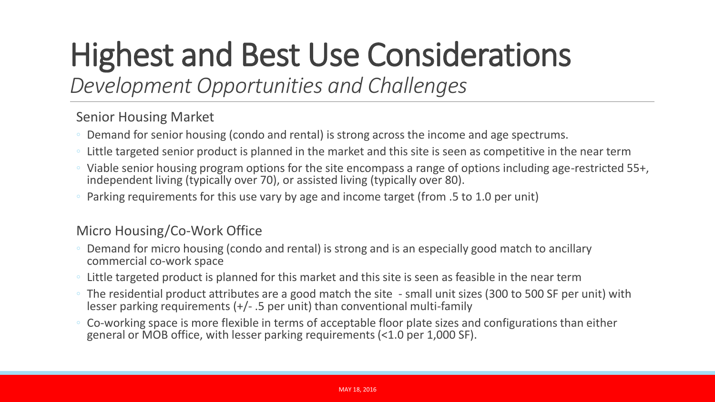# Highest and Best Use Considerations

### *Development Opportunities and Challenges*

Senior Housing Market

- Demand for senior housing (condo and rental) is strong across the income and age spectrums.
- Little targeted senior product is planned in the market and this site is seen as competitive in the near term
- Viable senior housing program options for the site encompass a range of options including age-restricted 55+, independent living (typically over 70), or assisted living (typically over 80).
- Parking requirements for this use vary by age and income target (from .5 to 1.0 per unit)

#### Micro Housing/Co-Work Office

- Demand for micro housing (condo and rental) is strong and is an especially good match to ancillary commercial co-work space
- Little targeted product is planned for this market and this site is seen as feasible in the near term
- The residential product attributes are a good match the site small unit sizes (300 to 500 SF per unit) with lesser parking requirements (+/- .5 per unit) than conventional multi-family
- Co-working space is more flexible in terms of acceptable floor plate sizes and configurations than either general or MOB office, with lesser parking requirements (<1.0 per 1,000 SF).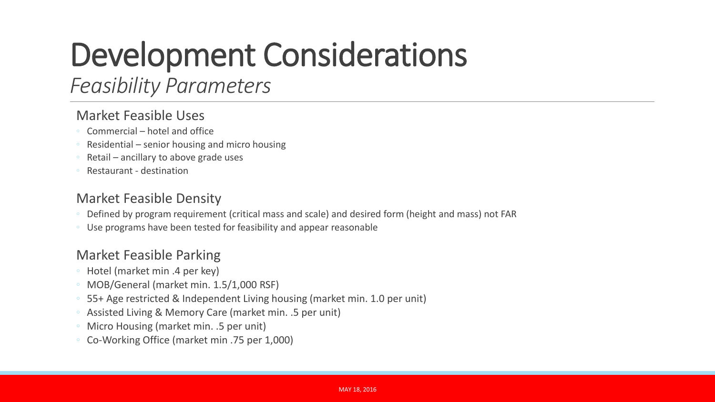### Development Considerations

### *Feasibility Parameters*

#### Market Feasible Uses

- Commercial hotel and office
- Residential senior housing and micro housing
- Retail ancillary to above grade uses
- Restaurant destination

#### Market Feasible Density

- Defined by program requirement (critical mass and scale) and desired form (height and mass) not FAR
- Use programs have been tested for feasibility and appear reasonable

#### Market Feasible Parking

- Hotel (market min .4 per key)
- MOB/General (market min. 1.5/1,000 RSF)
- 55+ Age restricted & Independent Living housing (market min. 1.0 per unit)
- Assisted Living & Memory Care (market min. .5 per unit)
- Micro Housing (market min. .5 per unit)
- Co-Working Office (market min .75 per 1,000)